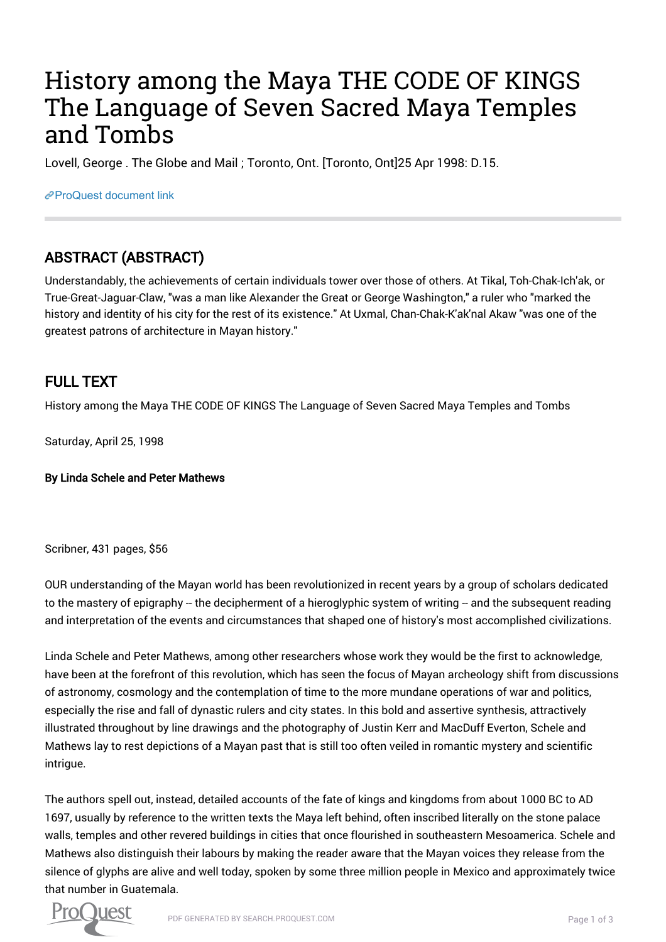# History among the Maya THE CODE OF KINGS The Language of Seven Sacred Maya Temples and Tombs

Lovell, George . The Globe and Mail ; Toronto, Ont. [Toronto, Ont]25 Apr 1998: D.15.

[ProQuest document link](https://proxy.queensu.ca/login?url=https://search.proquest.com/docview/384638665?accountid=6180)

## ABSTRACT (ABSTRACT)

Understandably, the achievements of certain individuals tower over those of others. At Tikal, Toh-Chak-Ich'ak, or True-Great-Jaguar-Claw, "was a man like Alexander the Great or George Washington," a ruler who "marked the history and identity of his city for the rest of its existence." At Uxmal, Chan-Chak-K'ak'nal Akaw "was one of the greatest patrons of architecture in Mayan history."

## FULL TEXT

History among the Maya THE CODE OF KINGS The Language of Seven Sacred Maya Temples and Tombs

Saturday, April 25, 1998

#### By Linda Schele and Peter Mathews

Scribner, 431 pages, \$56

OUR understanding of the Mayan world has been revolutionized in recent years by a group of scholars dedicated to the mastery of epigraphy -- the decipherment of a hieroglyphic system of writing -- and the subsequent reading and interpretation of the events and circumstances that shaped one of history's most accomplished civilizations.

Linda Schele and Peter Mathews, among other researchers whose work they would be the first to acknowledge, have been at the forefront of this revolution, which has seen the focus of Mayan archeology shift from discussions of astronomy, cosmology and the contemplation of time to the more mundane operations of war and politics, especially the rise and fall of dynastic rulers and city states. In this bold and assertive synthesis, attractively illustrated throughout by line drawings and the photography of Justin Kerr and MacDuff Everton, Schele and Mathews lay to rest depictions of a Mayan past that is still too often veiled in romantic mystery and scientific intrigue.

The authors spell out, instead, detailed accounts of the fate of kings and kingdoms from about 1000 BC to AD 1697, usually by reference to the written texts the Maya left behind, often inscribed literally on the stone palace walls, temples and other revered buildings in cities that once flourished in southeastern Mesoamerica. Schele and Mathews also distinguish their labours by making the reader aware that the Mayan voices they release from the silence of glyphs are alive and well today, spoken by some three million people in Mexico and approximately twice that number in Guatemala.

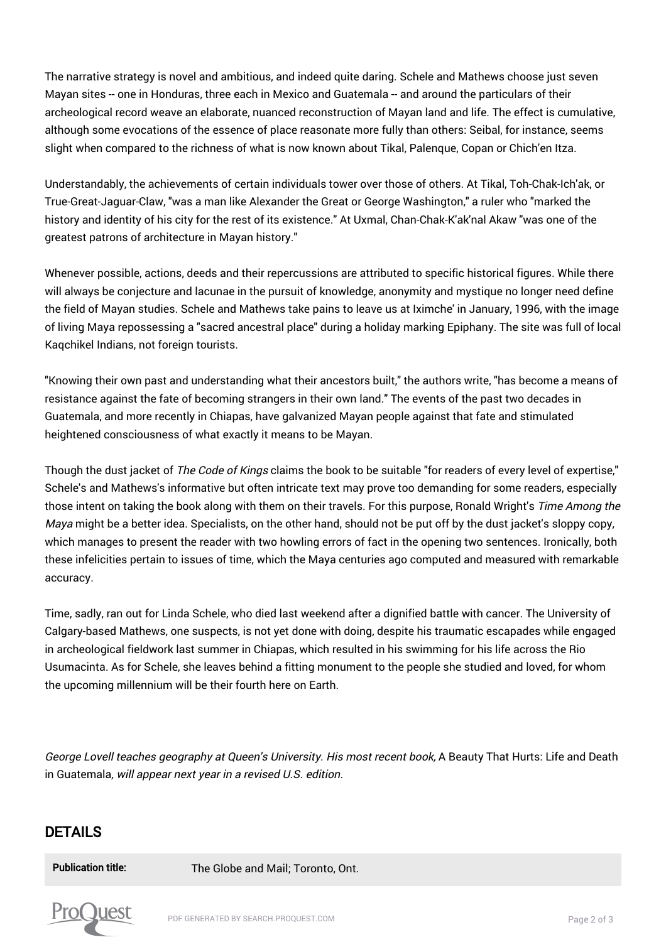The narrative strategy is novel and ambitious, and indeed quite daring. Schele and Mathews choose just seven Mayan sites -- one in Honduras, three each in Mexico and Guatemala -- and around the particulars of their archeological record weave an elaborate, nuanced reconstruction of Mayan land and life. The effect is cumulative, although some evocations of the essence of place reasonate more fully than others: Seibal, for instance, seems slight when compared to the richness of what is now known about Tikal, Palenque, Copan or Chich'en Itza.

Understandably, the achievements of certain individuals tower over those of others. At Tikal, Toh-Chak-Ich'ak, or True-Great-Jaguar-Claw, "was a man like Alexander the Great or George Washington," a ruler who "marked the history and identity of his city for the rest of its existence." At Uxmal, Chan-Chak-K'ak'nal Akaw "was one of the greatest patrons of architecture in Mayan history."

Whenever possible, actions, deeds and their repercussions are attributed to specific historical figures. While there will always be conjecture and lacunae in the pursuit of knowledge, anonymity and mystique no longer need define the field of Mayan studies. Schele and Mathews take pains to leave us at Iximche' in January, 1996, with the image of living Maya repossessing a "sacred ancestral place" during a holiday marking Epiphany. The site was full of local Kaqchikel Indians, not foreign tourists.

"Knowing their own past and understanding what their ancestors built," the authors write, "has become a means of resistance against the fate of becoming strangers in their own land." The events of the past two decades in Guatemala, and more recently in Chiapas, have galvanized Mayan people against that fate and stimulated heightened consciousness of what exactly it means to be Mayan.

Though the dust jacket of The Code of Kings claims the book to be suitable "for readers of every level of expertise," Schele's and Mathews's informative but often intricate text may prove too demanding for some readers, especially those intent on taking the book along with them on their travels. For this purpose, Ronald Wright's Time Among the Maya might be a better idea. Specialists, on the other hand, should not be put off by the dust jacket's sloppy copy, which manages to present the reader with two howling errors of fact in the opening two sentences. Ironically, both these infelicities pertain to issues of time, which the Maya centuries ago computed and measured with remarkable accuracy.

Time, sadly, ran out for Linda Schele, who died last weekend after a dignified battle with cancer. The University of Calgary-based Mathews, one suspects, is not yet done with doing, despite his traumatic escapades while engaged in archeological fieldwork last summer in Chiapas, which resulted in his swimming for his life across the Rio Usumacinta. As for Schele, she leaves behind a fitting monument to the people she studied and loved, for whom the upcoming millennium will be their fourth here on Earth.

George Lovell teaches geography at Queen's University. His most recent book, A Beauty That Hurts: Life and Death in Guatemala, will appear next year in a revised U.S. edition.

### DETAILS

Publication title: The Globe and Mail: Toronto, Ont.